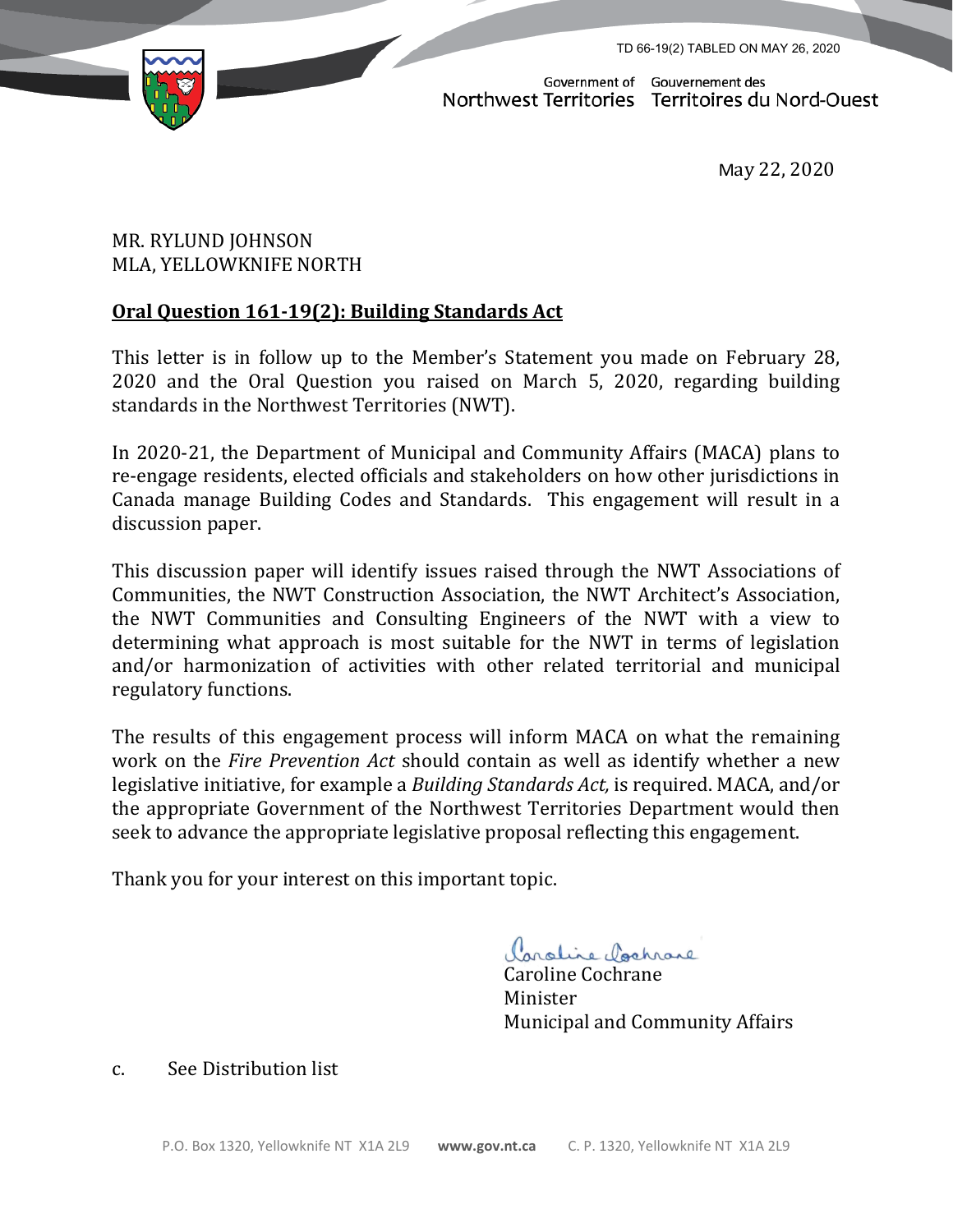TD 66-19(2) TABLED ON MAY 26, 2020



Government of Gouvernement des Northwest Territories Territoires du Nord-Ouest

May 22, 2020

## MR. RYLUND JOHNSON MLA, YELLOWKNIFE NORTH

## **Oral Question 161-19(2): Building Standards Act**

This letter is in follow up to the Member's Statement you made on February 28, 2020 and the Oral Question you raised on March 5, 2020, regarding building standards in the Northwest Territories (NWT).

In 2020-21, the Department of Municipal and Community Affairs (MACA) plans to re-engage residents, elected officials and stakeholders on how other jurisdictions in Canada manage Building Codes and Standards. This engagement will result in a discussion paper.

This discussion paper will identify issues raised through the NWT Associations of Communities, the NWT Construction Association, the NWT Architect's Association, the NWT Communities and Consulting Engineers of the NWT with a view to determining what approach is most suitable for the NWT in terms of legislation and/or harmonization of activities with other related territorial and municipal regulatory functions.

The results of this engagement process will inform MACA on what the remaining work on the *Fire Prevention Act* should contain as well as identify whether a new legislative initiative, for example a *Building Standards Act,* is required. MACA, and/or the appropriate Government of the Northwest Territories Department would then seek to advance the appropriate legislative proposal reflecting this engagement.

Thank you for your interest on this important topic.

Condine Cochrane

Caroline Cochrane Minister Municipal and Community Affairs

c. See Distribution list